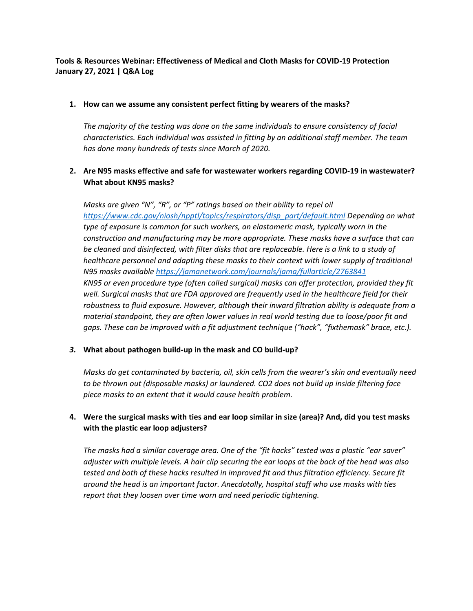# **Tools & Resources Webinar: Effectiveness of Medical and Cloth Masks for COVID-19 Protection January 27, 2021 | Q&A Log**

## **1. How can we assume any consistent perfect fitting by wearers of the masks?**

*The majority of the testing was done on the same individuals to ensure consistency of facial characteristics. Each individual was assisted in fitting by an additional staff member. The team has done many hundreds of tests since March of 2020.*

# **2. Are N95 masks effective and safe for wastewater workers regarding COVID-19 in wastewater? What about KN95 masks?**

*Masks are given "N", "R", or "P" ratings based on their ability to repel oil [https://www.cdc.gov/niosh/npptl/topics/respirators/disp\\_part/default.html](https://www.cdc.gov/niosh/npptl/topics/respirators/disp_part/default.html) Depending on what type of exposure is common for such workers, an elastomeric mask, typically worn in the construction and manufacturing may be more appropriate. These masks have a surface that can be cleaned and disinfected, with filter disks that are replaceable. Here is a link to a study of healthcare personnel and adapting these masks to their context with lower supply of traditional N95 masks available<https://jamanetwork.com/journals/jama/fullarticle/2763841> KN95 or even procedure type (often called surgical) masks can offer protection, provided they fit well. Surgical masks that are FDA approved are frequently used in the healthcare field for their robustness to fluid exposure. However, although their inward filtration ability is adequate from a material standpoint, they are often lower values in real world testing due to loose/poor fit and gaps. These can be improved with a fit adjustment technique ("hack", "fixthemask" brace, etc.).*

# *3.* **What about pathogen build-up in the mask and CO build-up?**

*Masks do get contaminated by bacteria, oil, skin cells from the wearer's skin and eventually need to be thrown out (disposable masks) or laundered. CO2 does not build up inside filtering face piece masks to an extent that it would cause health problem.*

# **4. Were the surgical masks with ties and ear loop similar in size (area)? And, did you test masks with the plastic ear loop adjusters?**

*The masks had a similar coverage area. One of the "fit hacks" tested was a plastic "ear saver" adjuster with multiple levels. A hair clip securing the ear loops at the back of the head was also tested and both of these hacks resulted in improved fit and thus filtration efficiency. Secure fit around the head is an important factor. Anecdotally, hospital staff who use masks with ties report that they loosen over time worn and need periodic tightening.*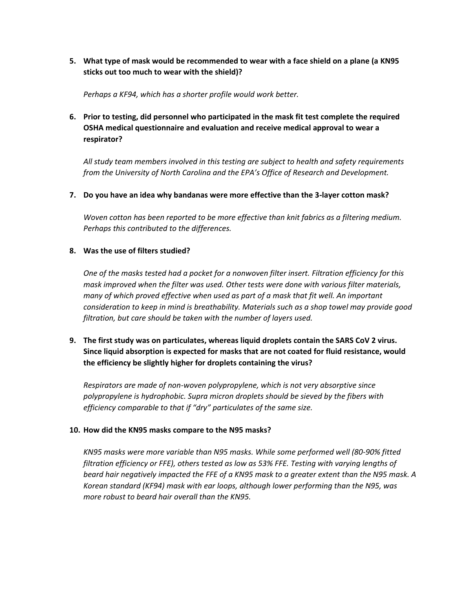**5. What type of mask would be recommended to wear with a face shield on a plane (a KN95 sticks out too much to wear with the shield)?**

*Perhaps a KF94, which has a shorter profile would work better.* 

**6. Prior to testing, did personnel who participated in the mask fit test complete the required OSHA medical questionnaire and evaluation and receive medical approval to wear a respirator?**

*All study team members involved in this testing are subject to health and safety requirements from the University of North Carolina and the EPA's Office of Research and Development.* 

## **7. Do you have an idea why bandanas were more effective than the 3-layer cotton mask?**

*Woven cotton has been reported to be more effective than knit fabrics as a filtering medium. Perhaps this contributed to the differences.* 

## **8. Was the use of filters studied?**

*One of the masks tested had a pocket for a nonwoven filter insert. Filtration efficiency for this mask improved when the filter was used. Other tests were done with various filter materials, many of which proved effective when used as part of a mask that fit well. An important consideration to keep in mind is breathability. Materials such as a shop towel may provide good filtration, but care should be taken with the number of layers used.* 

# **9. The first study was on particulates, whereas liquid droplets contain the SARS CoV 2 virus. Since liquid absorption is expected for masks that are not coated for fluid resistance, would the efficiency be slightly higher for droplets containing the virus?**

*Respirators are made of non-woven polypropylene, which is not very absorptive since polypropylene is hydrophobic. Supra micron droplets should be sieved by the fibers with efficiency comparable to that if "dry" particulates of the same size.*

## **10. How did the KN95 masks compare to the N95 masks?**

*KN95 masks were more variable than N95 masks. While some performed well (80-90% fitted filtration efficiency or FFE), others tested as low as 53% FFE. Testing with varying lengths of beard hair negatively impacted the FFE of a KN95 mask to a greater extent than the N95 mask. A Korean standard (KF94) mask with ear loops, although lower performing than the N95, was more robust to beard hair overall than the KN95.*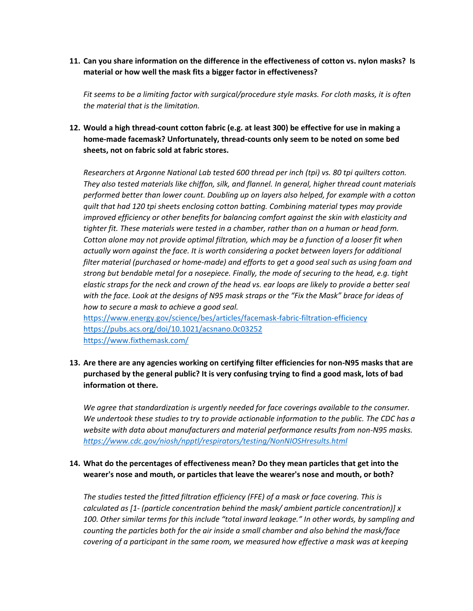**11. Can you share information on the difference in the effectiveness of cotton vs. nylon masks? Is material or how well the mask fits a bigger factor in effectiveness?**

*Fit seems to be a limiting factor with surgical/procedure style masks. For cloth masks, it is often the material that is the limitation.* 

**12. Would a high thread-count cotton fabric (e.g. at least 300) be effective for use in making a home-made facemask? Unfortunately, thread-counts only seem to be noted on some bed sheets, not on fabric sold at fabric stores.** 

*Researchers at Argonne National Lab tested 600 thread per inch (tpi) vs. 80 tpi quilters cotton. They also tested materials like chiffon, silk, and flannel. In general, higher thread count materials performed better than lower count. Doubling up on layers also helped, for example with a cotton quilt that had 120 tpi sheets enclosing cotton batting. Combining material types may provide improved efficiency or other benefits for balancing comfort against the skin with elasticity and tighter fit. These materials were tested in a chamber, rather than on a human or head form. Cotton alone may not provide optimal filtration, which may be a function of a looser fit when actually worn against the face. It is worth considering a pocket between layers for additional filter material (purchased or home-made) and efforts to get a good seal such as using foam and strong but bendable metal for a nosepiece. Finally, the mode of securing to the head, e.g. tight elastic straps for the neck and crown of the head vs. ear loops are likely to provide a better seal with the face. Look at the designs of N95 mask straps or the "Fix the Mask" brace for ideas of how to secure a mask to achieve a good seal.* 

<https://www.energy.gov/science/bes/articles/facemask-fabric-filtration-efficiency> <https://pubs.acs.org/doi/10.1021/acsnano.0c03252> <https://www.fixthemask.com/>

# **13. Are there are any agencies working on certifying filter efficiencies for non-N95 masks that are purchased by the general public? It is very confusing trying to find a good mask, lots of bad information ot there.**

*We agree that standardization is urgently needed for face coverings available to the consumer. We undertook these studies to try to provide actionable information to the public. The CDC has a website with data about manufacturers and material performance results from non-N95 masks. <https://www.cdc.gov/niosh/npptl/respirators/testing/NonNIOSHresults.html>*

# **14. What do the percentages of effectiveness mean? Do they mean particles that get into the wearer's nose and mouth, or particles that leave the wearer's nose and mouth, or both?**

*The studies tested the fitted filtration efficiency (FFE) of a mask or face covering. This is calculated as [1- (particle concentration behind the mask/ ambient particle concentration)] x 100. Other similar terms for this include "total inward leakage." In other words, by sampling and counting the particles both for the air inside a small chamber and also behind the mask/face covering of a participant in the same room, we measured how effective a mask was at keeping*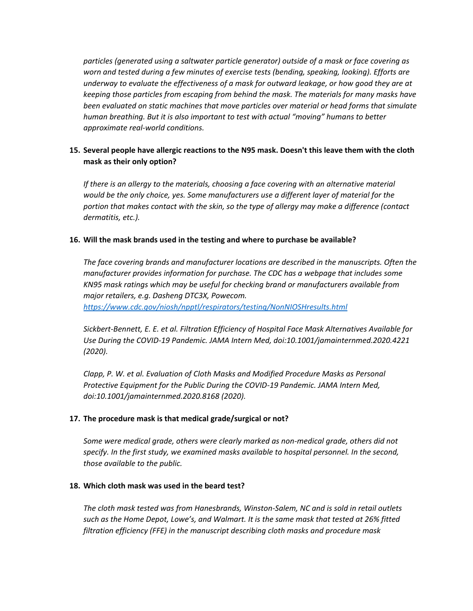*particles (generated using a saltwater particle generator) outside of a mask or face covering as worn and tested during a few minutes of exercise tests (bending, speaking, looking). Efforts are underway to evaluate the effectiveness of a mask for outward leakage, or how good they are at keeping those particles from escaping from behind the mask. The materials for many masks have been evaluated on static machines that move particles over material or head forms that simulate human breathing. But it is also important to test with actual "moving" humans to better approximate real-world conditions.* 

# **15. Several people have allergic reactions to the N95 mask. Doesn't this leave them with the cloth mask as their only option?**

*If there is an allergy to the materials, choosing a face covering with an alternative material would be the only choice, yes. Some manufacturers use a different layer of material for the portion that makes contact with the skin, so the type of allergy may make a difference (contact dermatitis, etc.).*

## **16. Will the mask brands used in the testing and where to purchase be available?**

*The face covering brands and manufacturer locations are described in the manuscripts. Often the manufacturer provides information for purchase. The CDC has a webpage that includes some KN95 mask ratings which may be useful for checking brand or manufacturers available from major retailers, e.g. Dasheng DTC3X, Powecom. <https://www.cdc.gov/niosh/npptl/respirators/testing/NonNIOSHresults.html>*

*Sickbert-Bennett, E. E. et al. Filtration Efficiency of Hospital Face Mask Alternatives Available for Use During the COVID-19 Pandemic. JAMA Intern Med, doi:10.1001/jamainternmed.2020.4221 (2020).*

*Clapp, P. W. et al. Evaluation of Cloth Masks and Modified Procedure Masks as Personal Protective Equipment for the Public During the COVID-19 Pandemic. JAMA Intern Med, doi:10.1001/jamainternmed.2020.8168 (2020).*

## **17. The procedure mask is that medical grade/surgical or not?**

*Some were medical grade, others were clearly marked as non-medical grade, others did not specify. In the first study, we examined masks available to hospital personnel. In the second, those available to the public.* 

## **18. Which cloth mask was used in the beard test?**

*The cloth mask tested was from Hanesbrands, Winston-Salem, NC and is sold in retail outlets such as the Home Depot, Lowe's, and Walmart. It is the same mask that tested at 26% fitted filtration efficiency (FFE) in the manuscript describing cloth masks and procedure mask*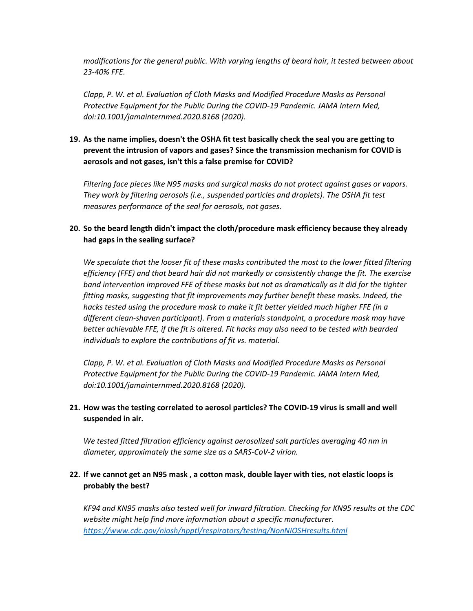*modifications for the general public. With varying lengths of beard hair, it tested between about 23-40% FFE.* 

*Clapp, P. W. et al. Evaluation of Cloth Masks and Modified Procedure Masks as Personal Protective Equipment for the Public During the COVID-19 Pandemic. JAMA Intern Med, doi:10.1001/jamainternmed.2020.8168 (2020).*

**19. As the name implies, doesn't the OSHA fit test basically check the seal you are getting to prevent the intrusion of vapors and gases? Since the transmission mechanism for COVID is aerosols and not gases, isn't this a false premise for COVID?**

*Filtering face pieces like N95 masks and surgical masks do not protect against gases or vapors. They work by filtering aerosols (i.e., suspended particles and droplets). The OSHA fit test measures performance of the seal for aerosols, not gases.* 

# **20. So the beard length didn't impact the cloth/procedure mask efficiency because they already had gaps in the sealing surface?**

*We speculate that the looser fit of these masks contributed the most to the lower fitted filtering efficiency (FFE) and that beard hair did not markedly or consistently change the fit. The exercise band intervention improved FFE of these masks but not as dramatically as it did for the tighter fitting masks, suggesting that fit improvements may further benefit these masks. Indeed, the hacks tested using the procedure mask to make it fit better yielded much higher FFE (in a different clean-shaven participant). From a materials standpoint, a procedure mask may have better achievable FFE, if the fit is altered. Fit hacks may also need to be tested with bearded individuals to explore the contributions of fit vs. material.*

*Clapp, P. W. et al. Evaluation of Cloth Masks and Modified Procedure Masks as Personal Protective Equipment for the Public During the COVID-19 Pandemic. JAMA Intern Med, doi:10.1001/jamainternmed.2020.8168 (2020).*

# **21. How was the testing correlated to aerosol particles? The COVID-19 virus is small and well suspended in air.**

*We tested fitted filtration efficiency against aerosolized salt particles averaging 40 nm in diameter, approximately the same size as a SARS-CoV-2 virion.* 

# **22. If we cannot get an N95 mask , a cotton mask, double layer with ties, not elastic loops is probably the best?**

*KF94 and KN95 masks also tested well for inward filtration. Checking for KN95 results at the CDC website might help find more information about a specific manufacturer. <https://www.cdc.gov/niosh/npptl/respirators/testing/NonNIOSHresults.html>*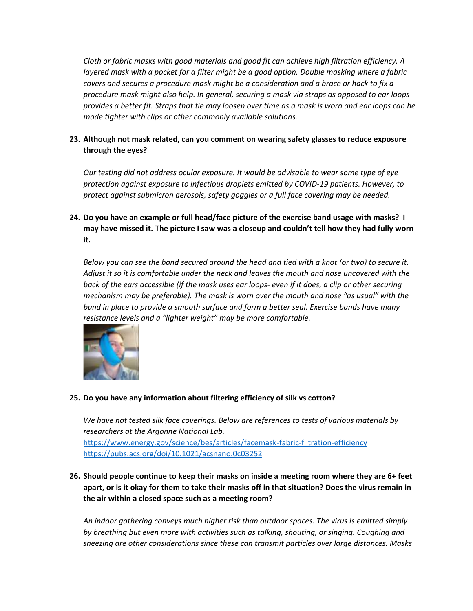*Cloth or fabric masks with good materials and good fit can achieve high filtration efficiency. A layered mask with a pocket for a filter might be a good option. Double masking where a fabric covers and secures a procedure mask might be a consideration and a brace or hack to fix a procedure mask might also help. In general, securing a mask via straps as opposed to ear loops provides a better fit. Straps that tie may loosen over time as a mask is worn and ear loops can be made tighter with clips or other commonly available solutions.*

# **23. Although not mask related, can you comment on wearing safety glasses to reduce exposure through the eyes?**

*Our testing did not address ocular exposure. It would be advisable to wear some type of eye protection against exposure to infectious droplets emitted by COVID-19 patients. However, to protect against submicron aerosols, safety goggles or a full face covering may be needed.* 

**24. Do you have an example or full head/face picture of the exercise band usage with masks? I may have missed it. The picture I saw was a closeup and couldn't tell how they had fully worn it.**

*Below you can see the band secured around the head and tied with a knot (or two) to secure it. Adjust it so it is comfortable under the neck and leaves the mouth and nose uncovered with the back of the ears accessible (if the mask uses ear loops- even if it does, a clip or other securing mechanism may be preferable). The mask is worn over the mouth and nose "as usual" with the band in place to provide a smooth surface and form a better seal. Exercise bands have many resistance levels and a "lighter weight" may be more comfortable.*



# **25. Do you have any information about filtering efficiency of silk vs cotton?**

*We have not tested silk face coverings. Below are references to tests of various materials by researchers at the Argonne National Lab.* <https://www.energy.gov/science/bes/articles/facemask-fabric-filtration-efficiency> <https://pubs.acs.org/doi/10.1021/acsnano.0c03252>

**26. Should people continue to keep their masks on inside a meeting room where they are 6+ feet apart, or is it okay for them to take their masks off in that situation? Does the virus remain in the air within a closed space such as a meeting room?**

*An indoor gathering conveys much higher risk than outdoor spaces. The virus is emitted simply by breathing but even more with activities such as talking, shouting, or singing. Coughing and sneezing are other considerations since these can transmit particles over large distances. Masks*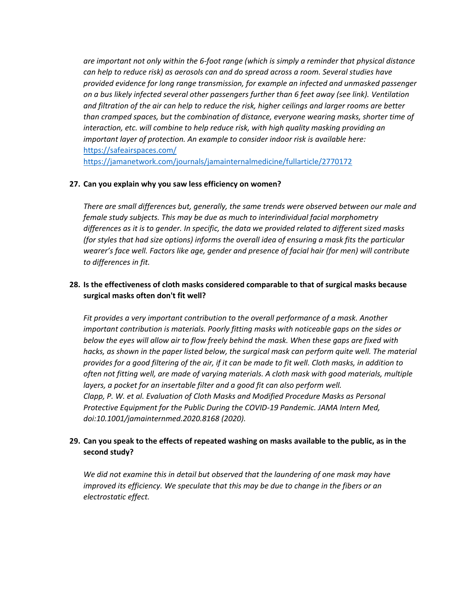*are important not only within the 6-foot range (which is simply a reminder that physical distance can help to reduce risk) as aerosols can and do spread across a room. Several studies have provided evidence for long range transmission, for example an infected and unmasked passenger on a bus likely infected several other passengers further than 6 feet away (see link). Ventilation and filtration of the air can help to reduce the risk, higher ceilings and larger rooms are better than cramped spaces, but the combination of distance, everyone wearing masks, shorter time of interaction, etc. will combine to help reduce risk, with high quality masking providing an important layer of protection. An example to consider indoor risk is available here:*  <https://safeairspaces.com/>

<https://jamanetwork.com/journals/jamainternalmedicine/fullarticle/2770172>

## **27. Can you explain why you saw less efficiency on women?**

*There are small differences but, generally, the same trends were observed between our male and female study subjects. This may be due as much to interindividual facial morphometry differences as it is to gender. In specific, the data we provided related to different sized masks (for styles that had size options) informs the overall idea of ensuring a mask fits the particular wearer's face well. Factors like age, gender and presence of facial hair (for men) will contribute to differences in fit.* 

# **28. Is the effectiveness of cloth masks considered comparable to that of surgical masks because surgical masks often don't fit well?**

*Fit provides a very important contribution to the overall performance of a mask. Another important contribution is materials. Poorly fitting masks with noticeable gaps on the sides or below the eyes will allow air to flow freely behind the mask. When these gaps are fixed with*  hacks, as shown in the paper listed below, the surgical mask can perform quite well. The material *provides for a good filtering of the air, if it can be made to fit well. Cloth masks, in addition to often not fitting well, are made of varying materials. A cloth mask with good materials, multiple layers, a pocket for an insertable filter and a good fit can also perform well. Clapp, P. W. et al. Evaluation of Cloth Masks and Modified Procedure Masks as Personal Protective Equipment for the Public During the COVID-19 Pandemic. JAMA Intern Med, doi:10.1001/jamainternmed.2020.8168 (2020).*

# **29. Can you speak to the effects of repeated washing on masks available to the public, as in the second study?**

*We did not examine this in detail but observed that the laundering of one mask may have improved its efficiency. We speculate that this may be due to change in the fibers or an electrostatic effect.*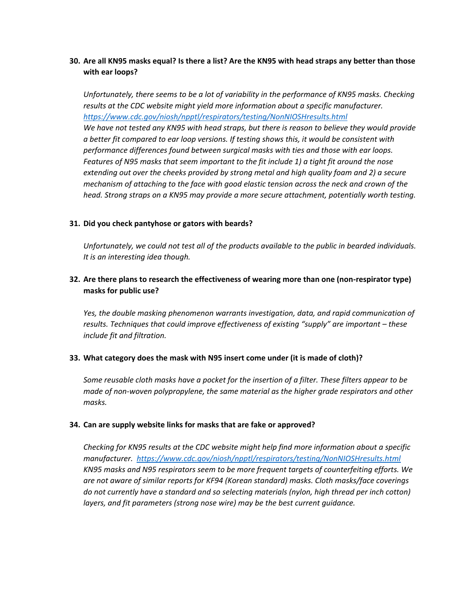# **30. Are all KN95 masks equal? Is there a list? Are the KN95 with head straps any better than those with ear loops?**

*Unfortunately, there seems to be a lot of variability in the performance of KN95 masks. Checking results at the CDC website might yield more information about a specific manufacturer. <https://www.cdc.gov/niosh/npptl/respirators/testing/NonNIOSHresults.html> We have not tested any KN95 with head straps, but there is reason to believe they would provide a better fit compared to ear loop versions. If testing shows this, it would be consistent with performance differences found between surgical masks with ties and those with ear loops. Features of N95 masks that seem important to the fit include 1) a tight fit around the nose extending out over the cheeks provided by strong metal and high quality foam and 2) a secure mechanism of attaching to the face with good elastic tension across the neck and crown of the head. Strong straps on a KN95 may provide a more secure attachment, potentially worth testing.*

## **31. Did you check pantyhose or gators with beards?**

*Unfortunately, we could not test all of the products available to the public in bearded individuals. It is an interesting idea though.* 

## **32. Are there plans to research the effectiveness of wearing more than one (non-respirator type) masks for public use?**

*Yes, the double masking phenomenon warrants investigation, data, and rapid communication of results. Techniques that could improve effectiveness of existing "supply" are important – these include fit and filtration.* 

## **33. What category does the mask with N95 insert come under (it is made of cloth)?**

*Some reusable cloth masks have a pocket for the insertion of a filter. These filters appear to be made of non-woven polypropylene, the same material as the higher grade respirators and other masks.* 

#### **34. Can are supply website links for masks that are fake or approved?**

*Checking for KN95 results at the CDC website might help find more information about a specific manufacturer. <https://www.cdc.gov/niosh/npptl/respirators/testing/NonNIOSHresults.html> KN95 masks and N95 respirators seem to be more frequent targets of counterfeiting efforts. We are not aware of similar reports for KF94 (Korean standard) masks. Cloth masks/face coverings do not currently have a standard and so selecting materials (nylon, high thread per inch cotton) layers, and fit parameters (strong nose wire) may be the best current guidance.*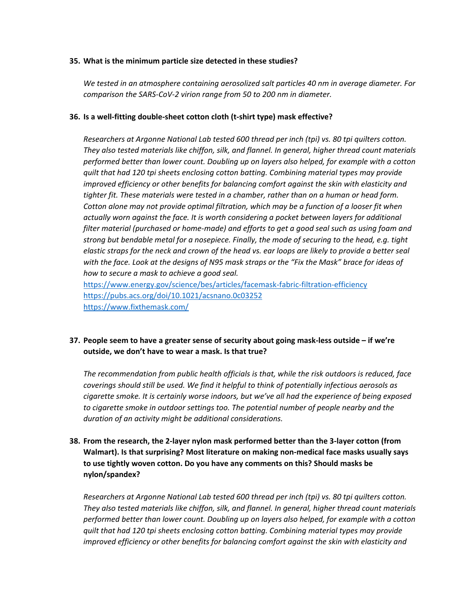#### **35. What is the minimum particle size detected in these studies?**

*We tested in an atmosphere containing aerosolized salt particles 40 nm in average diameter. For comparison the SARS-CoV-2 virion range from 50 to 200 nm in diameter.* 

## **36. Is a well-fitting double-sheet cotton cloth (t-shirt type) mask effective?**

*Researchers at Argonne National Lab tested 600 thread per inch (tpi) vs. 80 tpi quilters cotton. They also tested materials like chiffon, silk, and flannel. In general, higher thread count materials performed better than lower count. Doubling up on layers also helped, for example with a cotton quilt that had 120 tpi sheets enclosing cotton batting. Combining material types may provide improved efficiency or other benefits for balancing comfort against the skin with elasticity and tighter fit. These materials were tested in a chamber, rather than on a human or head form. Cotton alone may not provide optimal filtration, which may be a function of a looser fit when actually worn against the face. It is worth considering a pocket between layers for additional filter material (purchased or home-made) and efforts to get a good seal such as using foam and strong but bendable metal for a nosepiece. Finally, the mode of securing to the head, e.g. tight elastic straps for the neck and crown of the head vs. ear loops are likely to provide a better seal with the face. Look at the designs of N95 mask straps or the "Fix the Mask" brace for ideas of how to secure a mask to achieve a good seal.* 

<https://www.energy.gov/science/bes/articles/facemask-fabric-filtration-efficiency> <https://pubs.acs.org/doi/10.1021/acsnano.0c03252> <https://www.fixthemask.com/>

# **37. People seem to have a greater sense of security about going mask-less outside – if we're outside, we don't have to wear a mask. Is that true?**

*The recommendation from public health officials is that, while the risk outdoors is reduced, face coverings should still be used. We find it helpful to think of potentially infectious aerosols as cigarette smoke. It is certainly worse indoors, but we've all had the experience of being exposed to cigarette smoke in outdoor settings too. The potential number of people nearby and the duration of an activity might be additional considerations.* 

# **38. From the research, the 2-layer nylon mask performed better than the 3-layer cotton (from Walmart). Is that surprising? Most literature on making non-medical face masks usually says to use tightly woven cotton. Do you have any comments on this? Should masks be nylon/spandex?**

*Researchers at Argonne National Lab tested 600 thread per inch (tpi) vs. 80 tpi quilters cotton. They also tested materials like chiffon, silk, and flannel. In general, higher thread count materials performed better than lower count. Doubling up on layers also helped, for example with a cotton quilt that had 120 tpi sheets enclosing cotton batting. Combining material types may provide improved efficiency or other benefits for balancing comfort against the skin with elasticity and*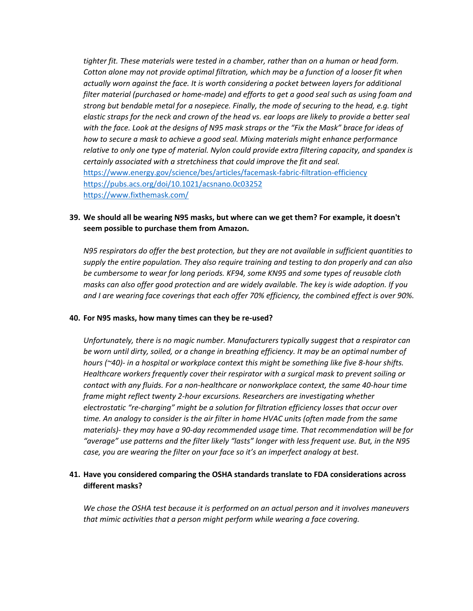*tighter fit. These materials were tested in a chamber, rather than on a human or head form. Cotton alone may not provide optimal filtration, which may be a function of a looser fit when actually worn against the face. It is worth considering a pocket between layers for additional filter material (purchased or home-made) and efforts to get a good seal such as using foam and strong but bendable metal for a nosepiece. Finally, the mode of securing to the head, e.g. tight elastic straps for the neck and crown of the head vs. ear loops are likely to provide a better seal with the face. Look at the designs of N95 mask straps or the "Fix the Mask" brace for ideas of how to secure a mask to achieve a good seal. Mixing materials might enhance performance relative to only one type of material. Nylon could provide extra filtering capacity, and spandex is certainly associated with a stretchiness that could improve the fit and seal.*  <https://www.energy.gov/science/bes/articles/facemask-fabric-filtration-efficiency> <https://pubs.acs.org/doi/10.1021/acsnano.0c03252> <https://www.fixthemask.com/>

## **39. We should all be wearing N95 masks, but where can we get them? For example, it doesn't seem possible to purchase them from Amazon.**

*N95 respirators do offer the best protection, but they are not available in sufficient quantities to supply the entire population. They also require training and testing to don properly and can also be cumbersome to wear for long periods. KF94, some KN95 and some types of reusable cloth masks can also offer good protection and are widely available. The key is wide adoption. If you and I are wearing face coverings that each offer 70% efficiency, the combined effect is over 90%.* 

#### **40. For N95 masks, how many times can they be re-used?**

*Unfortunately, there is no magic number. Manufacturers typically suggest that a respirator can be worn until dirty, soiled, or a change in breathing efficiency. It may be an optimal number of hours (~40)- in a hospital or workplace context this might be something like five 8-hour shifts. Healthcare workers frequently cover their respirator with a surgical mask to prevent soiling or contact with any fluids. For a non-healthcare or nonworkplace context, the same 40-hour time frame might reflect twenty 2-hour excursions. Researchers are investigating whether electrostatic "re-charging" might be a solution for filtration efficiency losses that occur over time. An analogy to consider is the air filter in home HVAC units (often made from the same materials)- they may have a 90-day recommended usage time. That recommendation will be for "average" use patterns and the filter likely "lasts" longer with less frequent use. But, in the N95 case, you are wearing the filter on your face so it's an imperfect analogy at best.* 

## **41. Have you considered comparing the OSHA standards translate to FDA considerations across different masks?**

*We chose the OSHA test because it is performed on an actual person and it involves maneuvers that mimic activities that a person might perform while wearing a face covering.*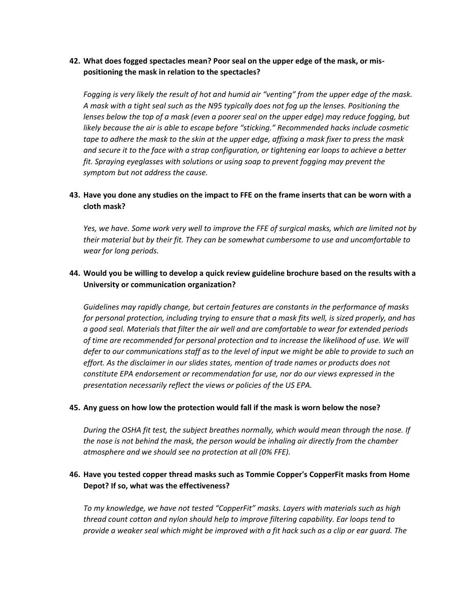## **42. What does fogged spectacles mean? Poor seal on the upper edge of the mask, or mispositioning the mask in relation to the spectacles?**

*Fogging is very likely the result of hot and humid air "venting" from the upper edge of the mask. A mask with a tight seal such as the N95 typically does not fog up the lenses. Positioning the lenses below the top of a mask (even a poorer seal on the upper edge) may reduce fogging, but*  likely because the air is able to escape before "sticking." Recommended hacks include cosmetic *tape to adhere the mask to the skin at the upper edge, affixing a mask fixer to press the mask and secure it to the face with a strap configuration, or tightening ear loops to achieve a better fit. Spraying eyeglasses with solutions or using soap to prevent fogging may prevent the symptom but not address the cause.*

## **43. Have you done any studies on the impact to FFE on the frame inserts that can be worn with a cloth mask?**

*Yes, we have. Some work very well to improve the FFE of surgical masks, which are limited not by their material but by their fit. They can be somewhat cumbersome to use and uncomfortable to wear for long periods.* 

# **44. Would you be willing to develop a quick review guideline brochure based on the results with a University or communication organization?**

*Guidelines may rapidly change, but certain features are constants in the performance of masks for personal protection, including trying to ensure that a mask fits well, is sized properly, and has a good seal. Materials that filter the air well and are comfortable to wear for extended periods of time are recommended for personal protection and to increase the likelihood of use. We will defer to our communications staff as to the level of input we might be able to provide to such an effort. As the disclaimer in our slides states, mention of trade names or products does not constitute EPA endorsement or recommendation for use, nor do our views expressed in the presentation necessarily reflect the views or policies of the US EPA.*

## **45. Any guess on how low the protection would fall if the mask is worn below the nose?**

*During the OSHA fit test, the subject breathes normally, which would mean through the nose. If the nose is not behind the mask, the person would be inhaling air directly from the chamber atmosphere and we should see no protection at all (0% FFE).*

## **46. Have you tested copper thread masks such as Tommie Copper's CopperFit masks from Home Depot? If so, what was the effectiveness?**

*To my knowledge, we have not tested "CopperFit" masks. Layers with materials such as high thread count cotton and nylon should help to improve filtering capability. Ear loops tend to provide a weaker seal which might be improved with a fit hack such as a clip or ear guard. The*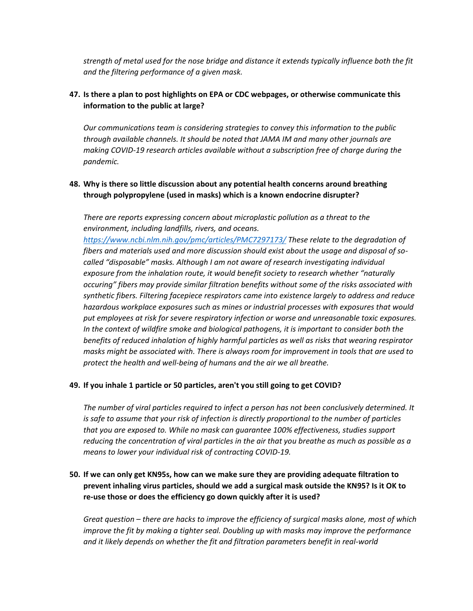*strength of metal used for the nose bridge and distance it extends typically influence both the fit and the filtering performance of a given mask.*

# **47. Is there a plan to post highlights on EPA or CDC webpages, or otherwise communicate this information to the public at large?**

*Our communications team is considering strategies to convey this information to the public through available channels. It should be noted that JAMA IM and many other journals are making COVID-19 research articles available without a subscription free of charge during the pandemic.* 

# **48. Why is there so little discussion about any potential health concerns around breathing through polypropylene (used in masks) which is a known endocrine disrupter?**

*There are reports expressing concern about microplastic pollution as a threat to the environment, including landfills, rivers, and oceans.* 

*<https://www.ncbi.nlm.nih.gov/pmc/articles/PMC7297173/> These relate to the degradation of fibers and materials used and more discussion should exist about the usage and disposal of socalled "disposable" masks. Although I am not aware of research investigating individual exposure from the inhalation route, it would benefit society to research whether "naturally occuring" fibers may provide similar filtration benefits without some of the risks associated with synthetic fibers. Filtering facepiece respirators came into existence largely to address and reduce hazardous workplace exposures such as mines or industrial processes with exposures that would put employees at risk for severe respiratory infection or worse and unreasonable toxic exposures. In the context of wildfire smoke and biological pathogens, it is important to consider both the benefits of reduced inhalation of highly harmful particles as well as risks that wearing respirator masks might be associated with. There is always room for improvement in tools that are used to protect the health and well-being of humans and the air we all breathe.* 

## **49. If you inhale 1 particle or 50 particles, aren't you still going to get COVID?**

*The number of viral particles required to infect a person has not been conclusively determined. It is safe to assume that your risk of infection is directly proportional to the number of particles that you are exposed to. While no mask can guarantee 100% effectiveness, studies support reducing the concentration of viral particles in the air that you breathe as much as possible as a means to lower your individual risk of contracting COVID-19.* 

# **50. If we can only get KN95s, how can we make sure they are providing adequate filtration to prevent inhaling virus particles, should we add a surgical mask outside the KN95? Is it OK to re-use those or does the efficiency go down quickly after it is used?**

*Great question – there are hacks to improve the efficiency of surgical masks alone, most of which improve the fit by making a tighter seal. Doubling up with masks may improve the performance and it likely depends on whether the fit and filtration parameters benefit in real-world*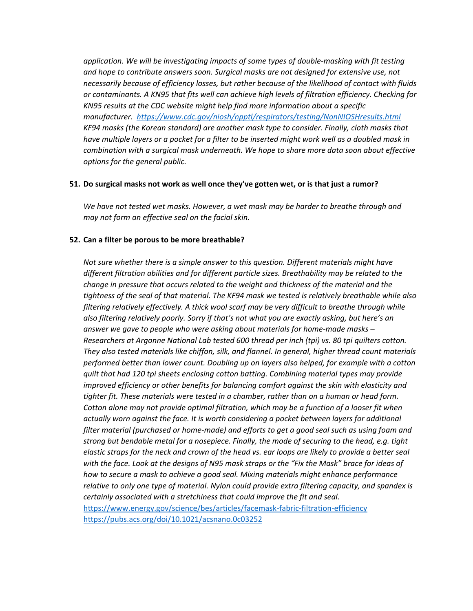*application. We will be investigating impacts of some types of double-masking with fit testing and hope to contribute answers soon. Surgical masks are not designed for extensive use, not necessarily because of efficiency losses, but rather because of the likelihood of contact with fluids or contaminants. A KN95 that fits well can achieve high levels of filtration efficiency. Checking for KN95 results at the CDC website might help find more information about a specific manufacturer. <https://www.cdc.gov/niosh/npptl/respirators/testing/NonNIOSHresults.html> KF94 masks (the Korean standard) are another mask type to consider. Finally, cloth masks that have multiple layers or a pocket for a filter to be inserted might work well as a doubled mask in combination with a surgical mask underneath. We hope to share more data soon about effective options for the general public.*

#### **51. Do surgical masks not work as well once they've gotten wet, or is that just a rumor?**

*We have not tested wet masks. However, a wet mask may be harder to breathe through and may not form an effective seal on the facial skin.* 

## **52. Can a filter be porous to be more breathable?**

*Not sure whether there is a simple answer to this question. Different materials might have different filtration abilities and for different particle sizes. Breathability may be related to the change in pressure that occurs related to the weight and thickness of the material and the tightness of the seal of that material. The KF94 mask we tested is relatively breathable while also filtering relatively effectively. A thick wool scarf may be very difficult to breathe through while also filtering relatively poorly. Sorry if that's not what you are exactly asking, but here's an answer we gave to people who were asking about materials for home-made masks – Researchers at Argonne National Lab tested 600 thread per inch (tpi) vs. 80 tpi quilters cotton. They also tested materials like chiffon, silk, and flannel. In general, higher thread count materials performed better than lower count. Doubling up on layers also helped, for example with a cotton quilt that had 120 tpi sheets enclosing cotton batting. Combining material types may provide improved efficiency or other benefits for balancing comfort against the skin with elasticity and tighter fit. These materials were tested in a chamber, rather than on a human or head form. Cotton alone may not provide optimal filtration, which may be a function of a looser fit when actually worn against the face. It is worth considering a pocket between layers for additional filter material (purchased or home-made) and efforts to get a good seal such as using foam and strong but bendable metal for a nosepiece. Finally, the mode of securing to the head, e.g. tight elastic straps for the neck and crown of the head vs. ear loops are likely to provide a better seal with the face. Look at the designs of N95 mask straps or the "Fix the Mask" brace for ideas of how to secure a mask to achieve a good seal. Mixing materials might enhance performance relative to only one type of material. Nylon could provide extra filtering capacity, and spandex is certainly associated with a stretchiness that could improve the fit and seal.*  <https://www.energy.gov/science/bes/articles/facemask-fabric-filtration-efficiency> <https://pubs.acs.org/doi/10.1021/acsnano.0c03252>